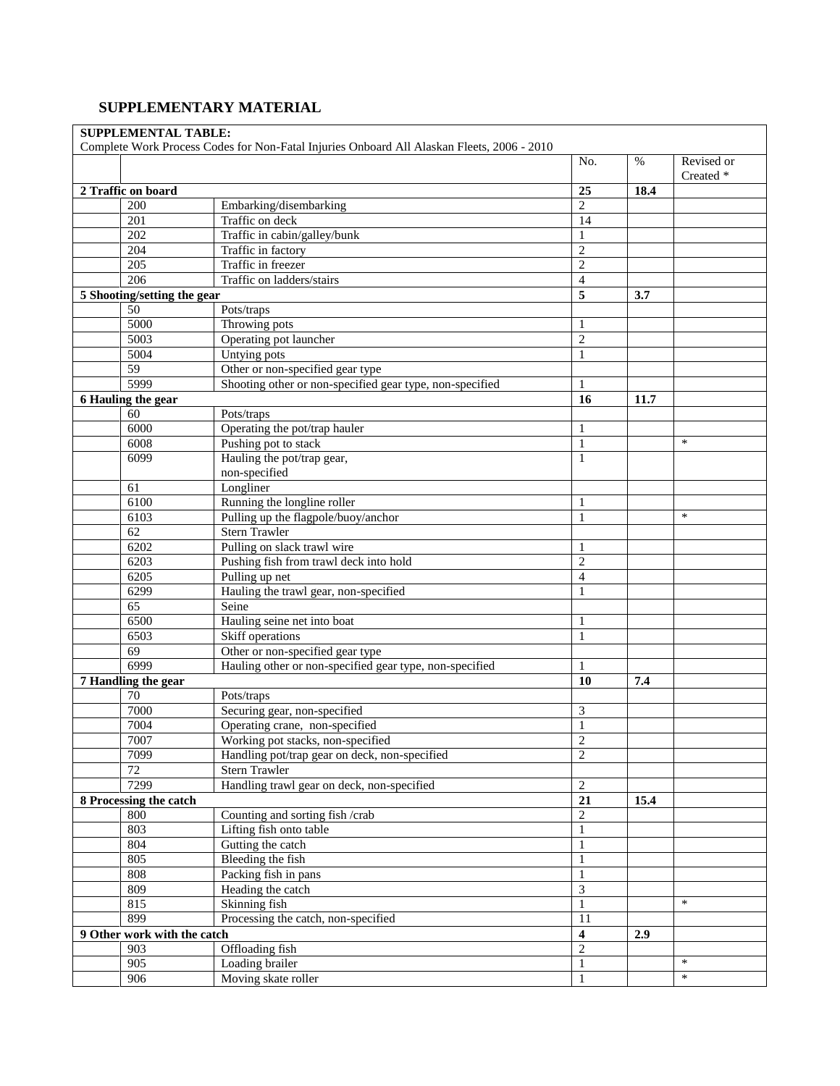## **SUPPLEMENTARY MATERIAL**

|                             | Complete Work Process Codes for Non-Fatal Injuries Onboard All Alaskan Fleets, 2006 - 2010 |                         |      |                         |
|-----------------------------|--------------------------------------------------------------------------------------------|-------------------------|------|-------------------------|
|                             |                                                                                            | No.                     | $\%$ | Revised or<br>Created * |
| 2 Traffic on board          |                                                                                            | 25                      | 18.4 |                         |
| 200                         | Embarking/disembarking                                                                     | $\overline{2}$          |      |                         |
| 201                         | Traffic on deck                                                                            | 14                      |      |                         |
| 202                         | Traffic in cabin/galley/bunk                                                               | 1                       |      |                         |
| $\overline{204}$            | Traffic in factory                                                                         | $\overline{c}$          |      |                         |
| 205                         | Traffic in freezer                                                                         | $\overline{2}$          |      |                         |
| 206                         | Traffic on ladders/stairs                                                                  | $\overline{4}$          |      |                         |
| 5 Shooting/setting the gear |                                                                                            | 5                       | 3.7  |                         |
| $\overline{50}$             | Pots/traps                                                                                 |                         |      |                         |
| 5000                        | Throwing pots                                                                              | 1                       |      |                         |
| 5003                        | Operating pot launcher                                                                     | $\overline{c}$          |      |                         |
| 5004                        | Untying pots                                                                               | 1                       |      |                         |
| $\overline{59}$             | Other or non-specified gear type                                                           |                         |      |                         |
| 5999                        | Shooting other or non-specified gear type, non-specified                                   | $\mathbf{1}$            |      |                         |
| 6 Hauling the gear          |                                                                                            | 16                      | 11.7 |                         |
| 60                          | Pots/traps                                                                                 |                         |      |                         |
| 6000                        | Operating the pot/trap hauler                                                              | 1                       |      |                         |
| 6008                        | Pushing pot to stack                                                                       | $\mathbf{1}$            |      | $\ast$                  |
| 6099                        | Hauling the pot/trap gear,                                                                 | 1                       |      |                         |
|                             | non-specified                                                                              |                         |      |                         |
| 61                          | Longliner                                                                                  |                         |      |                         |
| 6100                        | Running the longline roller                                                                | 1                       |      |                         |
| 6103                        | Pulling up the flagpole/buoy/anchor                                                        | $\mathbf{1}$            |      | $\ast$                  |
| 62                          | Stern Trawler                                                                              |                         |      |                         |
| 6202                        | Pulling on slack trawl wire                                                                | 1                       |      |                         |
| 6203                        | Pushing fish from trawl deck into hold                                                     | $\overline{2}$          |      |                         |
| 6205                        | Pulling up net                                                                             | $\overline{4}$          |      |                         |
| 6299                        | Hauling the trawl gear, non-specified                                                      | $\mathbf{1}$            |      |                         |
| $\overline{65}$             | Seine                                                                                      |                         |      |                         |
| 6500                        | Hauling seine net into boat                                                                | 1                       |      |                         |
| 6503                        | Skiff operations                                                                           | 1                       |      |                         |
| $\overline{69}$             | Other or non-specified gear type                                                           |                         |      |                         |
| 6999                        | Hauling other or non-specified gear type, non-specified                                    | 1                       |      |                         |
| 7 Handling the gear         |                                                                                            | 10                      | 7.4  |                         |
| $\overline{70}$             | Pots/traps                                                                                 |                         |      |                         |
| 7000                        | Securing gear, non-specified                                                               | 3                       |      |                         |
| 7004                        | Operating crane, non-specified                                                             | $\mathbf{1}$            |      |                         |
| 7007                        | Working pot stacks, non-specified                                                          | $\overline{c}$          |      |                         |
| 7099                        | Handling pot/trap gear on deck, non-specified                                              | $\overline{2}$          |      |                         |
| 72                          | Stern Trawler                                                                              |                         |      |                         |
| 7299                        | Handling trawl gear on deck, non-specified                                                 |                         |      |                         |
| 8 Processing the catch      |                                                                                            | $\overline{2}$          |      |                         |
|                             |                                                                                            | 21                      | 15.4 |                         |
| 800<br>803                  | Counting and sorting fish /crab                                                            | $\overline{2}$          |      |                         |
|                             | Lifting fish onto table                                                                    | $\mathbf{1}$            |      |                         |
| 804                         | Gutting the catch                                                                          | $\mathbf{1}$            |      |                         |
| 805                         | Bleeding the fish                                                                          | $\mathbf{1}$            |      |                         |
| 808                         | Packing fish in pans                                                                       | 1                       |      |                         |
| 809                         | Heading the catch                                                                          | 3                       |      | $\ast$                  |
| 815                         | Skinning fish                                                                              | $\mathbf{1}$            |      |                         |
| 899                         | Processing the catch, non-specified                                                        | 11                      |      |                         |
| 9 Other work with the catch |                                                                                            | $\overline{\mathbf{4}}$ | 2.9  |                         |
| 903                         | Offloading fish                                                                            | $\mathbf{2}$            |      |                         |
| 905                         | Loading brailer                                                                            | $\mathbf{1}$            |      | $\ast$                  |
| 906                         | Moving skate roller                                                                        | $\mathbf{1}$            |      | $\ast$                  |